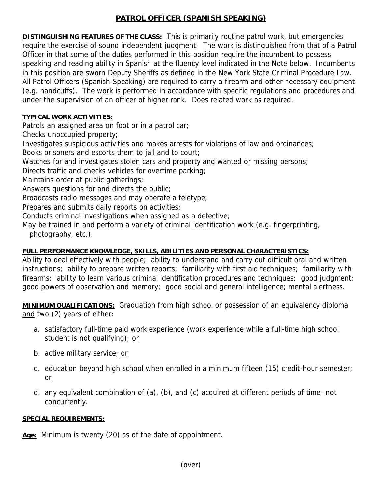## **PATROL OFFICER (SPANISH SPEAKING)**

**DISTINGUISHING FEATURES OF THE CLASS:** This is primarily routine patrol work, but emergencies require the exercise of sound independent judgment. The work is distinguished from that of a Patrol Officer in that some of the duties performed in this position require the incumbent to possess speaking and reading ability in Spanish at the fluency level indicated in the Note below. Incumbents in this position are sworn Deputy Sheriffs as defined in the New York State Criminal Procedure Law. All Patrol Officers (Spanish-Speaking) are required to carry a firearm and other necessary equipment (e.g. handcuffs). The work is performed in accordance with specific regulations and procedures and under the supervision of an officer of higher rank. Does related work as required.

## **TYPICAL WORK ACTIVITIES:**

Patrols an assigned area on foot or in a patrol car;

Checks unoccupied property;

Investigates suspicious activities and makes arrests for violations of law and ordinances;

Books prisoners and escorts them to jail and to court;

Watches for and investigates stolen cars and property and wanted or missing persons;

Directs traffic and checks vehicles for overtime parking;

Maintains order at public gatherings;

Answers questions for and directs the public;

Broadcasts radio messages and may operate a teletype;

Prepares and submits daily reports on activities;

Conducts criminal investigations when assigned as a detective;

May be trained in and perform a variety of criminal identification work (e.g. fingerprinting, photography, etc.).

## **FULL PERFORMANCE KNOWLEDGE, SKILLS, ABILITIES AND PERSONAL CHARACTERISTICS:**

Ability to deal effectively with people; ability to understand and carry out difficult oral and written instructions; ability to prepare written reports; familiarity with first aid techniques; familiarity with firearms; ability to learn various criminal identification procedures and techniques; good judgment; good powers of observation and memory; good social and general intelligence; mental alertness.

**MINIMUM QUALIFICATIONS:** Graduation from high school or possession of an equivalency diploma and two (2) years of either:

- a. satisfactory full-time paid work experience (work experience while a full-time high school student is not qualifying); or
- b. active military service; or
- c. education beyond high school when enrolled in a minimum fifteen (15) credit-hour semester; or
- d. any equivalent combination of (a), (b), and (c) acquired at different periods of time- not concurrently.

## **SPECIAL REQUIREMENTS:**

**Age:** Minimum is twenty (20) as of the date of appointment.